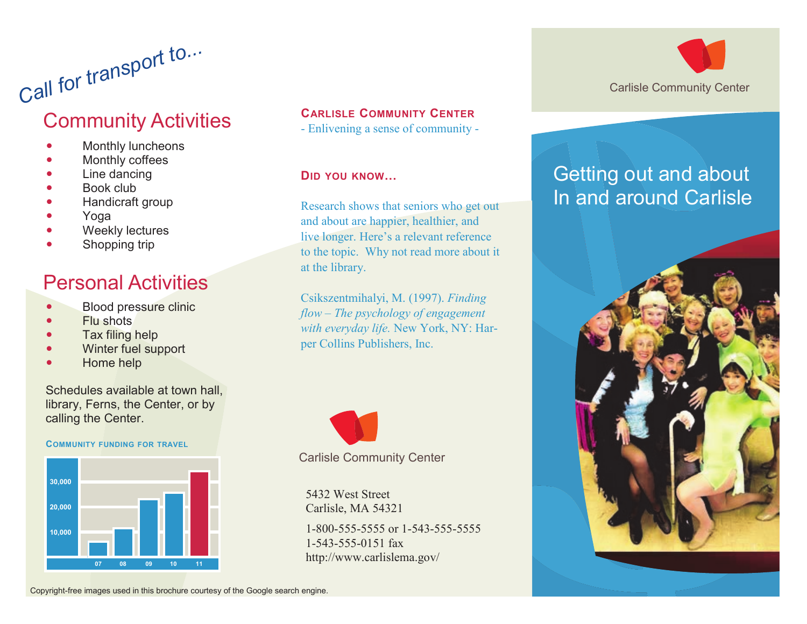# *Call for transport to...* Community Activities

- Monthly luncheons
- Monthly coffees
- Line dancing
- Book club
- Handicraft group
- Yoga
- Weekly lectures
- Shopping trip

# Personal Activities

- Blood pressure clinic
- Flu shots
- Tax filing help
- Winter fuel support
- Home help

Schedules available at town hall, library, Ferns, the Center, or by calling the Center.

#### **COMMUNITY FUNDING FOR TRAVEL**



### **CARLISLE COMMUNITY CENTER**

- Enlivening a sense of community -

**DID YOU KNOW…**

Research shows that seniors who get out and about are happier, healthier, and live longer. Here's a relevant reference to the topic. Why not read more about it at the library.

Csikszentmihalyi, M. (1997). *Finding flow – The psychology of engagement with everyday life.* New York, NY: Harper Collins Publishers, Inc.



Carlisle Community Center

5432 West Street Carlisle, MA 54321 1-800-555-5555 or 1-543-555-5555 1-543-555-0151 fax http://www.carlislema.gov/



# Getting out and about In and around Carlisle